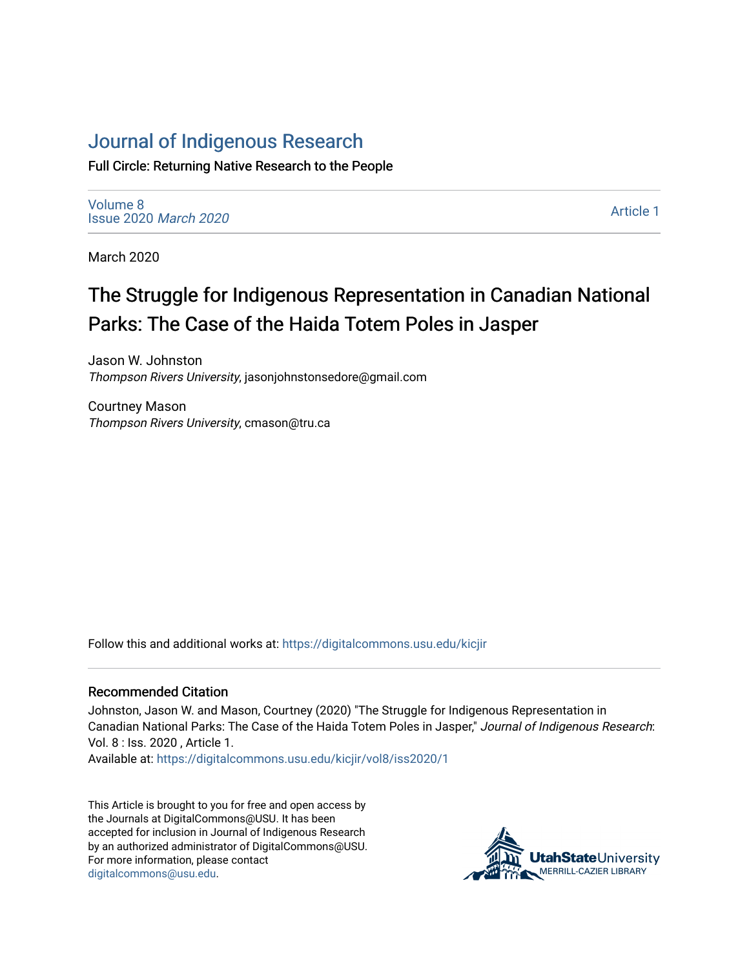## [Journal of Indigenous Research](https://digitalcommons.usu.edu/kicjir)

Full Circle: Returning Native Research to the People

[Volume 8](https://digitalcommons.usu.edu/kicjir/vol8) [Issue 2020](https://digitalcommons.usu.edu/kicjir/vol8/iss2020) March 2020

[Article 1](https://digitalcommons.usu.edu/kicjir/vol8/iss2020/1) 

March 2020

# The Struggle for Indigenous Representation in Canadian National Parks: The Case of the Haida Totem Poles in Jasper

Jason W. Johnston Thompson Rivers University, jasonjohnstonsedore@gmail.com

Courtney Mason Thompson Rivers University, cmason@tru.ca

Follow this and additional works at: [https://digitalcommons.usu.edu/kicjir](https://digitalcommons.usu.edu/kicjir?utm_source=digitalcommons.usu.edu%2Fkicjir%2Fvol8%2Fiss2020%2F1&utm_medium=PDF&utm_campaign=PDFCoverPages)

#### Recommended Citation

Johnston, Jason W. and Mason, Courtney (2020) "The Struggle for Indigenous Representation in Canadian National Parks: The Case of the Haida Totem Poles in Jasper," Journal of Indigenous Research: Vol. 8 : Iss. 2020 , Article 1.

Available at: [https://digitalcommons.usu.edu/kicjir/vol8/iss2020/1](https://digitalcommons.usu.edu/kicjir/vol8/iss2020/1?utm_source=digitalcommons.usu.edu%2Fkicjir%2Fvol8%2Fiss2020%2F1&utm_medium=PDF&utm_campaign=PDFCoverPages)

This Article is brought to you for free and open access by the Journals at DigitalCommons@USU. It has been accepted for inclusion in Journal of Indigenous Research by an authorized administrator of DigitalCommons@USU. For more information, please contact [digitalcommons@usu.edu.](mailto:digitalcommons@usu.edu)

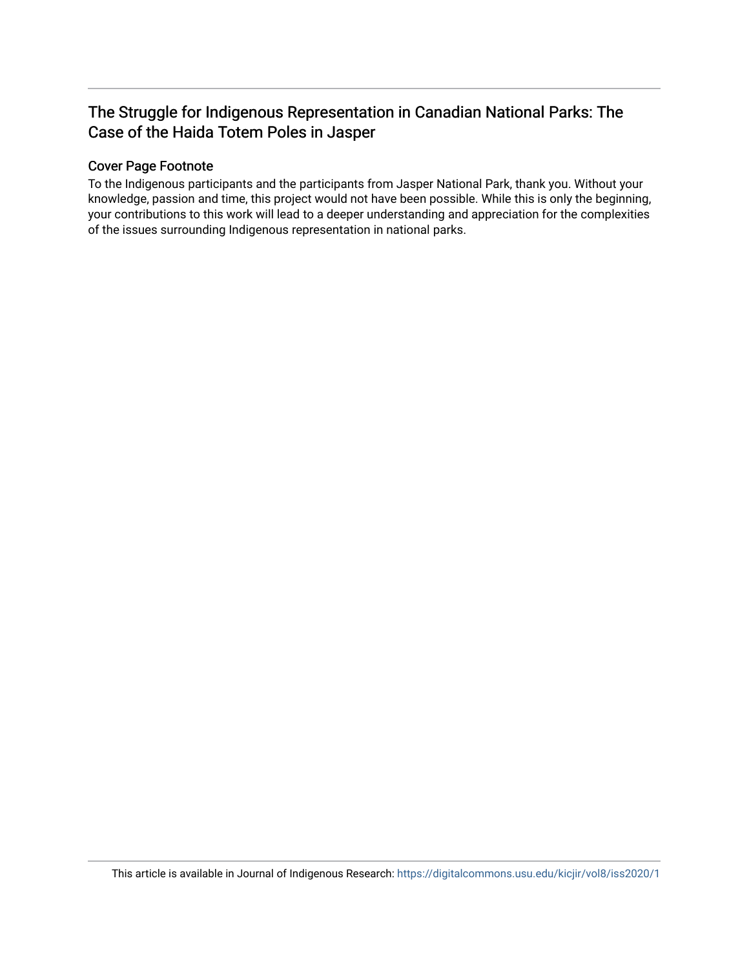### The Struggle for Indigenous Representation in Canadian National Parks: The Case of the Haida Totem Poles in Jasper

#### Cover Page Footnote

To the Indigenous participants and the participants from Jasper National Park, thank you. Without your knowledge, passion and time, this project would not have been possible. While this is only the beginning, your contributions to this work will lead to a deeper understanding and appreciation for the complexities of the issues surrounding Indigenous representation in national parks.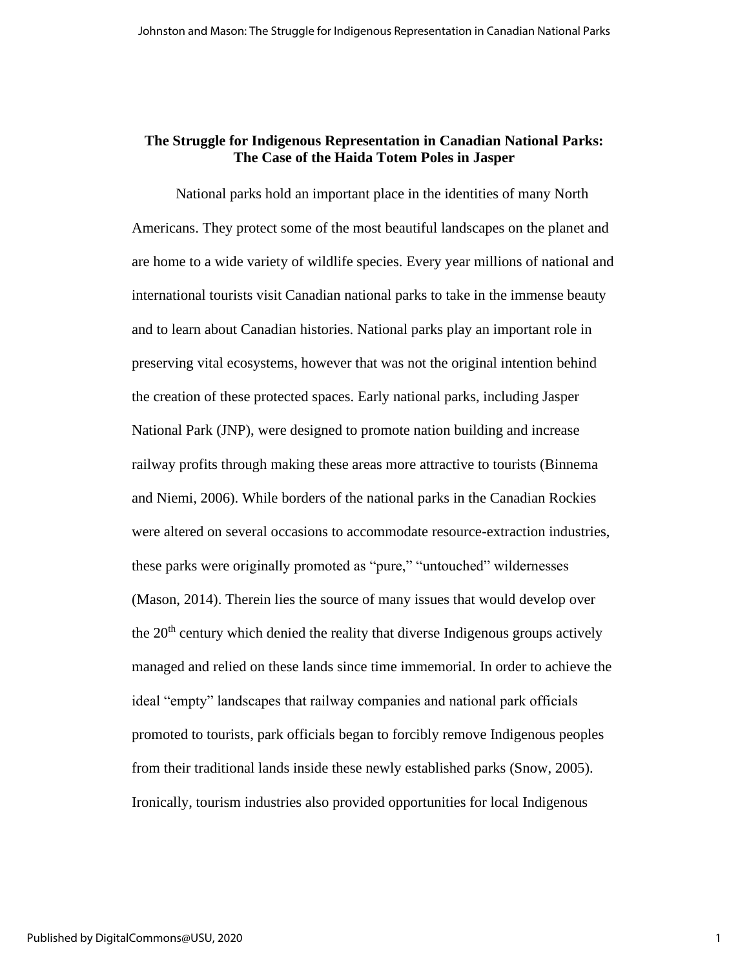#### **The Struggle for Indigenous Representation in Canadian National Parks: The Case of the Haida Totem Poles in Jasper**

National parks hold an important place in the identities of many North Americans. They protect some of the most beautiful landscapes on the planet and are home to a wide variety of wildlife species. Every year millions of national and international tourists visit Canadian national parks to take in the immense beauty and to learn about Canadian histories. National parks play an important role in preserving vital ecosystems, however that was not the original intention behind the creation of these protected spaces. Early national parks, including Jasper National Park (JNP), were designed to promote nation building and increase railway profits through making these areas more attractive to tourists (Binnema and Niemi, 2006). While borders of the national parks in the Canadian Rockies were altered on several occasions to accommodate resource-extraction industries, these parks were originally promoted as "pure," "untouched" wildernesses (Mason, 2014). Therein lies the source of many issues that would develop over the  $20<sup>th</sup>$  century which denied the reality that diverse Indigenous groups actively managed and relied on these lands since time immemorial. In order to achieve the ideal "empty" landscapes that railway companies and national park officials promoted to tourists, park officials began to forcibly remove Indigenous peoples from their traditional lands inside these newly established parks (Snow, 2005). Ironically, tourism industries also provided opportunities for local Indigenous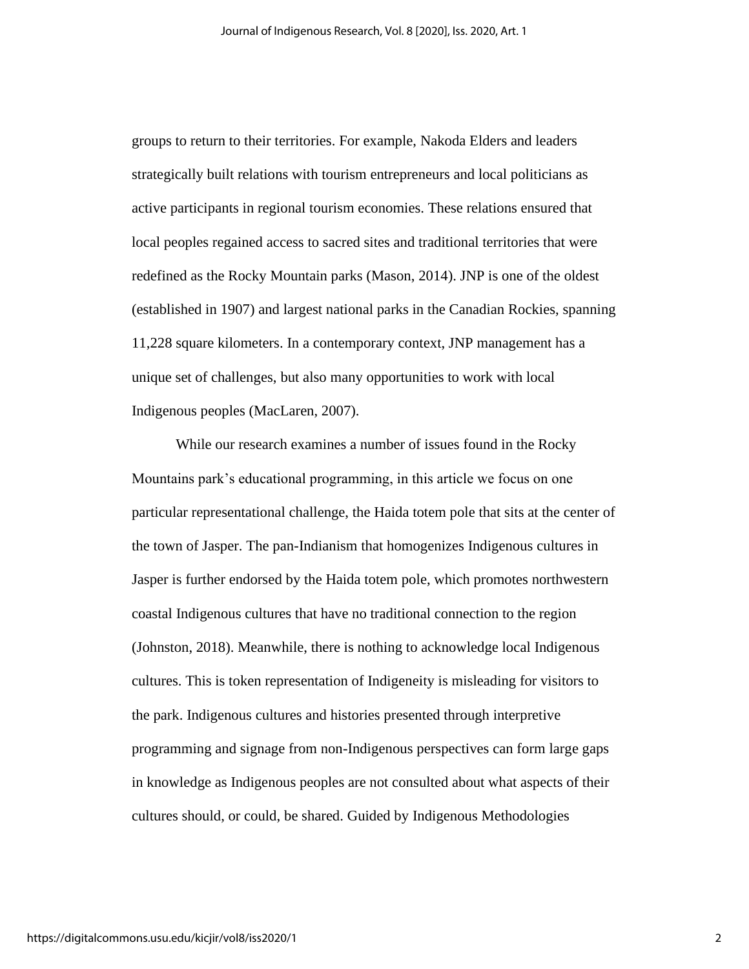groups to return to their territories. For example, Nakoda Elders and leaders strategically built relations with tourism entrepreneurs and local politicians as active participants in regional tourism economies. These relations ensured that local peoples regained access to sacred sites and traditional territories that were redefined as the Rocky Mountain parks (Mason, 2014). JNP is one of the oldest (established in 1907) and largest national parks in the Canadian Rockies, spanning 11,228 square kilometers. In a contemporary context, JNP management has a unique set of challenges, but also many opportunities to work with local Indigenous peoples (MacLaren, 2007).

While our research examines a number of issues found in the Rocky Mountains park's educational programming, in this article we focus on one particular representational challenge, the Haida totem pole that sits at the center of the town of Jasper. The pan-Indianism that homogenizes Indigenous cultures in Jasper is further endorsed by the Haida totem pole, which promotes northwestern coastal Indigenous cultures that have no traditional connection to the region (Johnston, 2018). Meanwhile, there is nothing to acknowledge local Indigenous cultures. This is token representation of Indigeneity is misleading for visitors to the park. Indigenous cultures and histories presented through interpretive programming and signage from non-Indigenous perspectives can form large gaps in knowledge as Indigenous peoples are not consulted about what aspects of their cultures should, or could, be shared. Guided by Indigenous Methodologies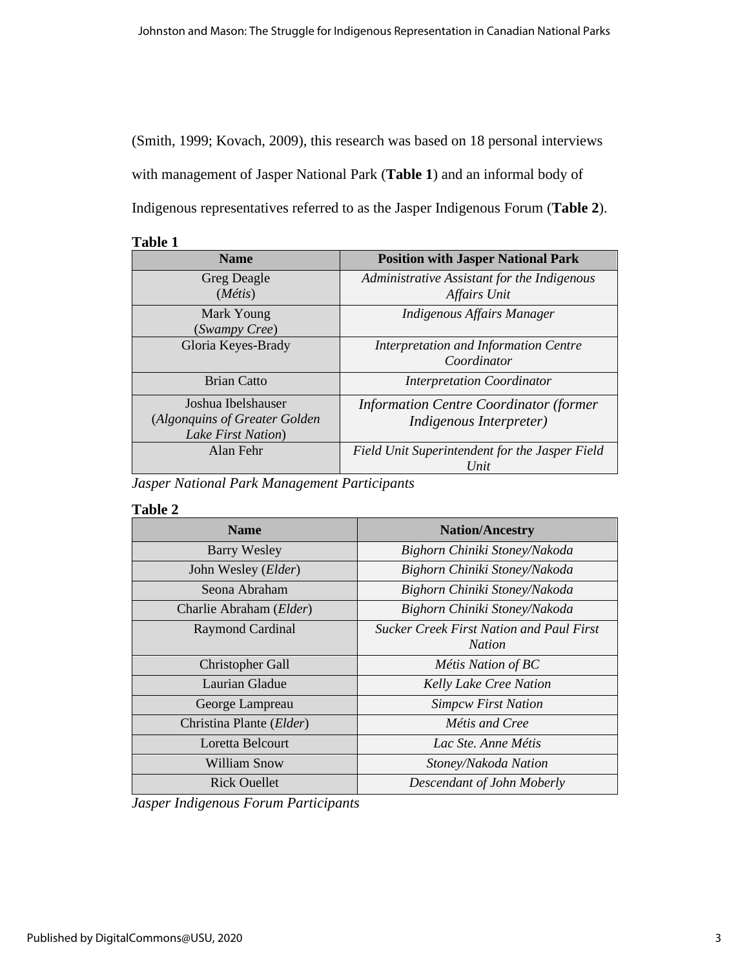(Smith, 1999; Kovach, 2009), this research was based on 18 personal interviews with management of Jasper National Park (**Table 1**) and an informal body of Indigenous representatives referred to as the Jasper Indigenous Forum (**Table 2**).

#### **Table 1**

| <b>Name</b>                                                               | <b>Position with Jasper National Park</b>                                        |
|---------------------------------------------------------------------------|----------------------------------------------------------------------------------|
| Greg Deagle<br>$(M$ étis)                                                 | Administrative Assistant for the Indigenous<br>Affairs Unit                      |
| Mark Young<br>(Swampy Cree)                                               | Indigenous Affairs Manager                                                       |
| Gloria Keyes-Brady                                                        | Interpretation and Information Centre<br>Coordinator                             |
| <b>Brian Catto</b>                                                        | <b>Interpretation Coordinator</b>                                                |
| Joshua Ibelshauser<br>(Algonquins of Greater Golden<br>Lake First Nation) | <b>Information Centre Coordinator (former</b><br><i>Indigenous Interpreter</i> ) |
| Alan Fehr                                                                 | Field Unit Superintendent for the Jasper Field<br>Unit                           |

*Jasper National Park Management Participants*

#### **Table 2**

| <b>Name</b>                  | <b>Nation/Ancestry</b>                                           |
|------------------------------|------------------------------------------------------------------|
| <b>Barry Wesley</b>          | Bighorn Chiniki Stoney/Nakoda                                    |
| John Wesley ( <i>Elder</i> ) | Bighorn Chiniki Stoney/Nakoda                                    |
| Seona Abraham                | Bighorn Chiniki Stoney/Nakoda                                    |
| Charlie Abraham (Elder)      | Bighorn Chiniki Stoney/Nakoda                                    |
| <b>Raymond Cardinal</b>      | <b>Sucker Creek First Nation and Paul First</b><br><b>Nation</b> |
| <b>Christopher Gall</b>      | Métis Nation of BC                                               |
| Laurian Gladue               | <b>Kelly Lake Cree Nation</b>                                    |
| George Lampreau              | <b>Simpcw First Nation</b>                                       |
| Christina Plante (Elder)     | Métis and Cree                                                   |
| Loretta Belcourt             | Lac Ste. Anne Métis                                              |
| William Snow                 | Stoney/Nakoda Nation                                             |
| <b>Rick Ouellet</b>          | Descendant of John Moberly                                       |

*Jasper Indigenous Forum Participants*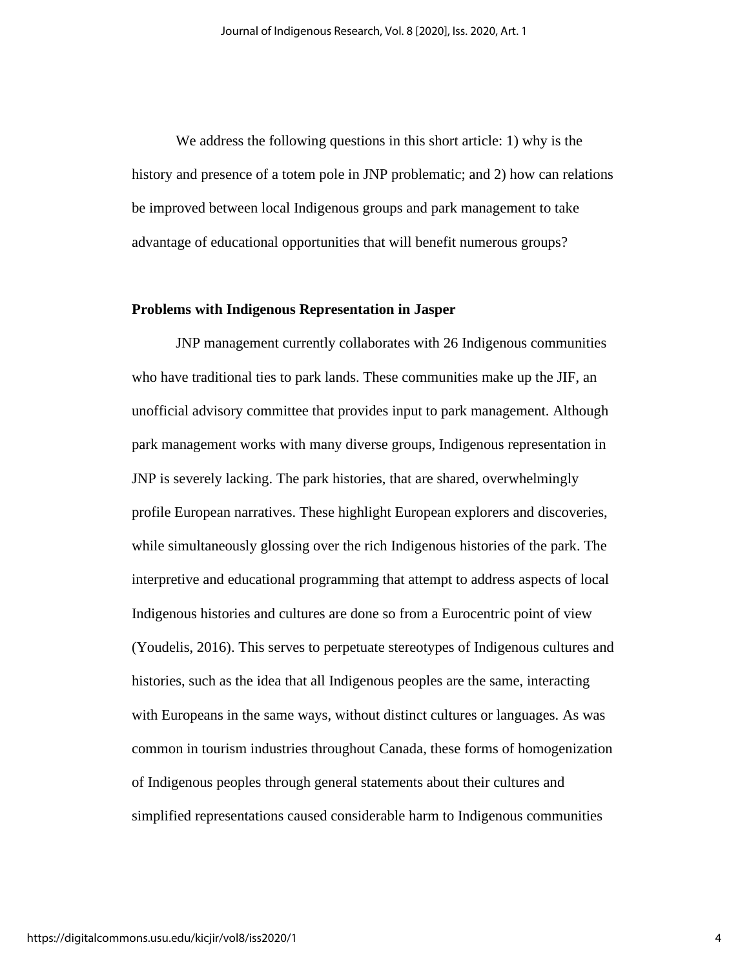We address the following questions in this short article: 1) why is the history and presence of a totem pole in JNP problematic; and 2) how can relations be improved between local Indigenous groups and park management to take advantage of educational opportunities that will benefit numerous groups?

#### **Problems with Indigenous Representation in Jasper**

JNP management currently collaborates with 26 Indigenous communities who have traditional ties to park lands. These communities make up the JIF, an unofficial advisory committee that provides input to park management. Although park management works with many diverse groups, Indigenous representation in JNP is severely lacking. The park histories, that are shared, overwhelmingly profile European narratives. These highlight European explorers and discoveries, while simultaneously glossing over the rich Indigenous histories of the park. The interpretive and educational programming that attempt to address aspects of local Indigenous histories and cultures are done so from a Eurocentric point of view (Youdelis, 2016). This serves to perpetuate stereotypes of Indigenous cultures and histories, such as the idea that all Indigenous peoples are the same, interacting with Europeans in the same ways, without distinct cultures or languages. As was common in tourism industries throughout Canada, these forms of homogenization of Indigenous peoples through general statements about their cultures and simplified representations caused considerable harm to Indigenous communities

4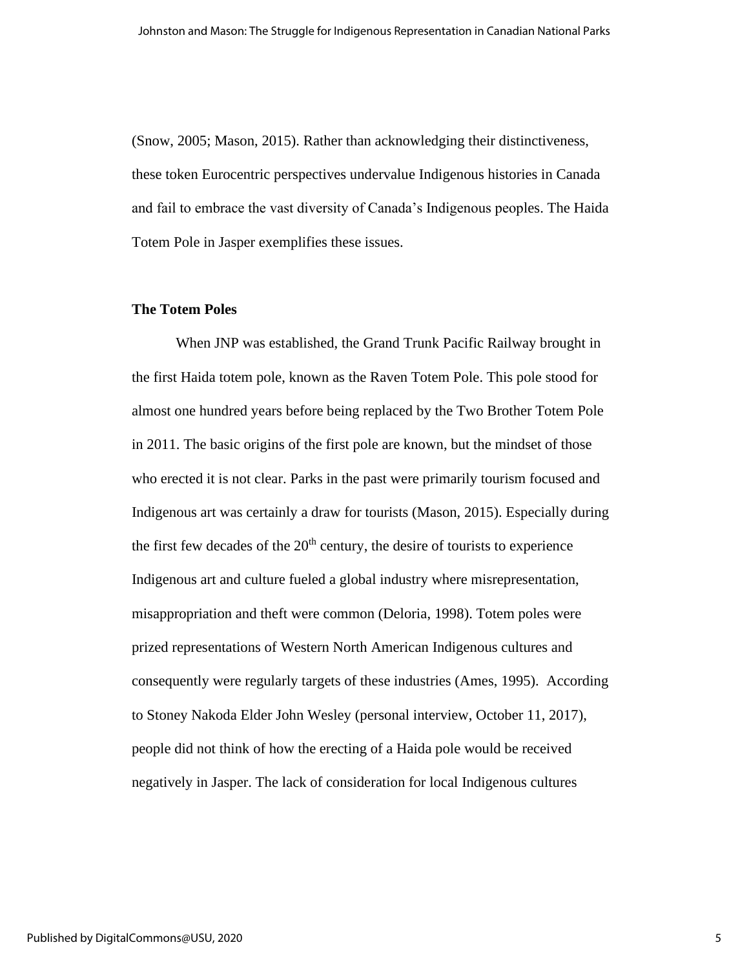(Snow, 2005; Mason, 2015). Rather than acknowledging their distinctiveness, these token Eurocentric perspectives undervalue Indigenous histories in Canada and fail to embrace the vast diversity of Canada's Indigenous peoples. The Haida Totem Pole in Jasper exemplifies these issues.

#### **The Totem Poles**

When JNP was established, the Grand Trunk Pacific Railway brought in the first Haida totem pole, known as the Raven Totem Pole. This pole stood for almost one hundred years before being replaced by the Two Brother Totem Pole in 2011. The basic origins of the first pole are known, but the mindset of those who erected it is not clear. Parks in the past were primarily tourism focused and Indigenous art was certainly a draw for tourists (Mason, 2015). Especially during the first few decades of the  $20<sup>th</sup>$  century, the desire of tourists to experience Indigenous art and culture fueled a global industry where misrepresentation, misappropriation and theft were common (Deloria, 1998). Totem poles were prized representations of Western North American Indigenous cultures and consequently were regularly targets of these industries (Ames, 1995). According to Stoney Nakoda Elder John Wesley (personal interview, October 11, 2017), people did not think of how the erecting of a Haida pole would be received negatively in Jasper. The lack of consideration for local Indigenous cultures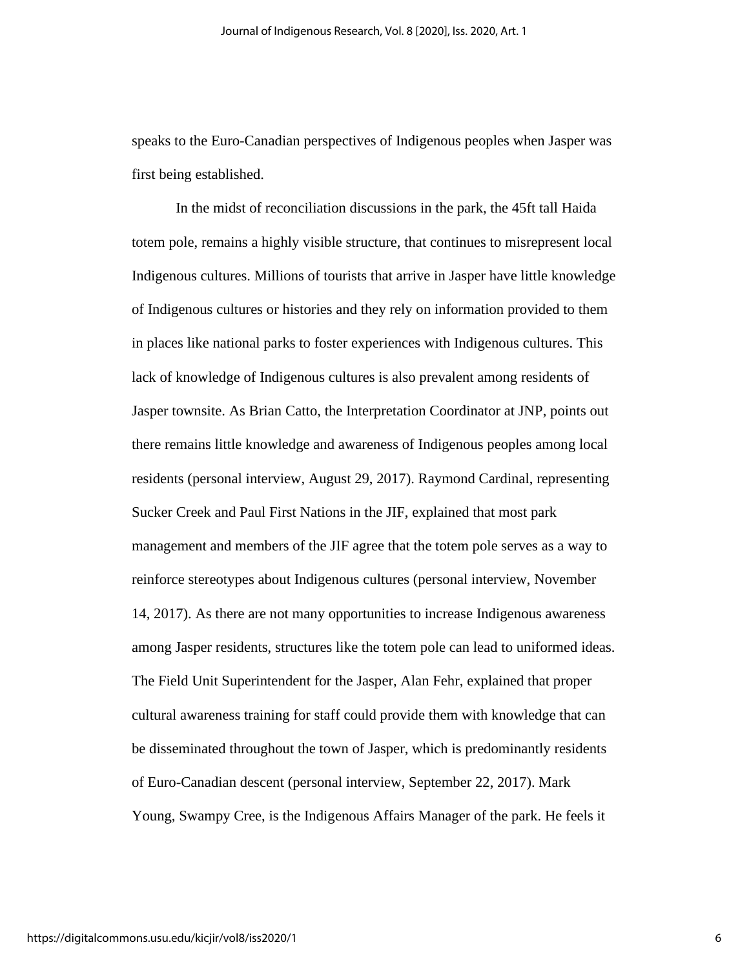speaks to the Euro-Canadian perspectives of Indigenous peoples when Jasper was first being established.

In the midst of reconciliation discussions in the park, the 45ft tall Haida totem pole, remains a highly visible structure, that continues to misrepresent local Indigenous cultures. Millions of tourists that arrive in Jasper have little knowledge of Indigenous cultures or histories and they rely on information provided to them in places like national parks to foster experiences with Indigenous cultures. This lack of knowledge of Indigenous cultures is also prevalent among residents of Jasper townsite. As Brian Catto, the Interpretation Coordinator at JNP, points out there remains little knowledge and awareness of Indigenous peoples among local residents (personal interview, August 29, 2017). Raymond Cardinal, representing Sucker Creek and Paul First Nations in the JIF, explained that most park management and members of the JIF agree that the totem pole serves as a way to reinforce stereotypes about Indigenous cultures (personal interview, November 14, 2017). As there are not many opportunities to increase Indigenous awareness among Jasper residents, structures like the totem pole can lead to uniformed ideas. The Field Unit Superintendent for the Jasper, Alan Fehr, explained that proper cultural awareness training for staff could provide them with knowledge that can be disseminated throughout the town of Jasper, which is predominantly residents of Euro-Canadian descent (personal interview, September 22, 2017). Mark Young, Swampy Cree, is the Indigenous Affairs Manager of the park. He feels it

6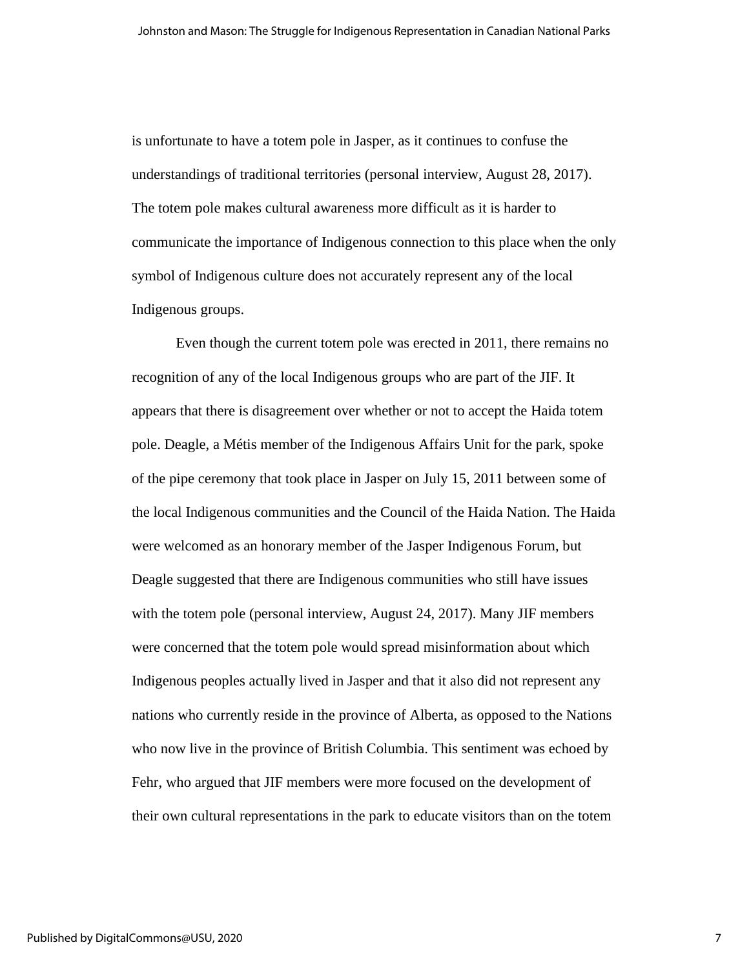is unfortunate to have a totem pole in Jasper, as it continues to confuse the understandings of traditional territories (personal interview, August 28, 2017). The totem pole makes cultural awareness more difficult as it is harder to communicate the importance of Indigenous connection to this place when the only symbol of Indigenous culture does not accurately represent any of the local Indigenous groups.

Even though the current totem pole was erected in 2011, there remains no recognition of any of the local Indigenous groups who are part of the JIF. It appears that there is disagreement over whether or not to accept the Haida totem pole. Deagle, a Métis member of the Indigenous Affairs Unit for the park, spoke of the pipe ceremony that took place in Jasper on July 15, 2011 between some of the local Indigenous communities and the Council of the Haida Nation. The Haida were welcomed as an honorary member of the Jasper Indigenous Forum, but Deagle suggested that there are Indigenous communities who still have issues with the totem pole (personal interview, August 24, 2017). Many JIF members were concerned that the totem pole would spread misinformation about which Indigenous peoples actually lived in Jasper and that it also did not represent any nations who currently reside in the province of Alberta, as opposed to the Nations who now live in the province of British Columbia. This sentiment was echoed by Fehr, who argued that JIF members were more focused on the development of their own cultural representations in the park to educate visitors than on the totem

7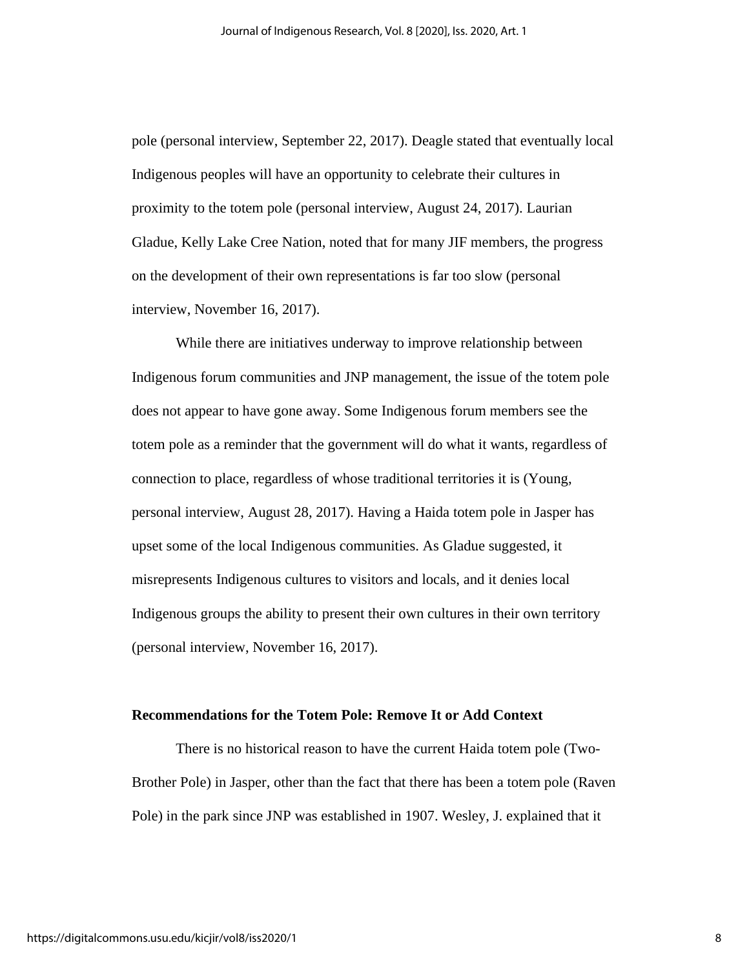pole (personal interview, September 22, 2017). Deagle stated that eventually local Indigenous peoples will have an opportunity to celebrate their cultures in proximity to the totem pole (personal interview, August 24, 2017). Laurian Gladue, Kelly Lake Cree Nation, noted that for many JIF members, the progress on the development of their own representations is far too slow (personal interview, November 16, 2017).

While there are initiatives underway to improve relationship between Indigenous forum communities and JNP management, the issue of the totem pole does not appear to have gone away. Some Indigenous forum members see the totem pole as a reminder that the government will do what it wants, regardless of connection to place, regardless of whose traditional territories it is (Young, personal interview, August 28, 2017). Having a Haida totem pole in Jasper has upset some of the local Indigenous communities. As Gladue suggested, it misrepresents Indigenous cultures to visitors and locals, and it denies local Indigenous groups the ability to present their own cultures in their own territory (personal interview, November 16, 2017).

#### **Recommendations for the Totem Pole: Remove It or Add Context**

There is no historical reason to have the current Haida totem pole (Two-Brother Pole) in Jasper, other than the fact that there has been a totem pole (Raven Pole) in the park since JNP was established in 1907. Wesley, J. explained that it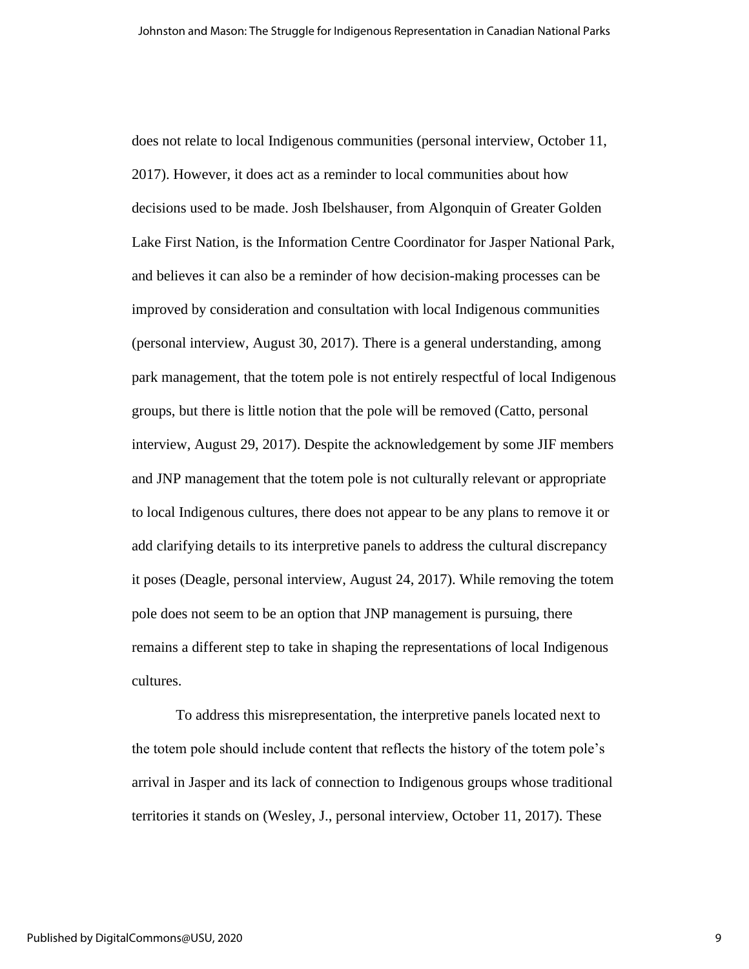does not relate to local Indigenous communities (personal interview, October 11, 2017). However, it does act as a reminder to local communities about how decisions used to be made. Josh Ibelshauser, from Algonquin of Greater Golden Lake First Nation, is the Information Centre Coordinator for Jasper National Park, and believes it can also be a reminder of how decision-making processes can be improved by consideration and consultation with local Indigenous communities (personal interview, August 30, 2017). There is a general understanding, among park management, that the totem pole is not entirely respectful of local Indigenous groups, but there is little notion that the pole will be removed (Catto, personal interview, August 29, 2017). Despite the acknowledgement by some JIF members and JNP management that the totem pole is not culturally relevant or appropriate to local Indigenous cultures, there does not appear to be any plans to remove it or add clarifying details to its interpretive panels to address the cultural discrepancy it poses (Deagle, personal interview, August 24, 2017). While removing the totem pole does not seem to be an option that JNP management is pursuing, there remains a different step to take in shaping the representations of local Indigenous cultures.

To address this misrepresentation, the interpretive panels located next to the totem pole should include content that reflects the history of the totem pole's arrival in Jasper and its lack of connection to Indigenous groups whose traditional territories it stands on (Wesley, J., personal interview, October 11, 2017). These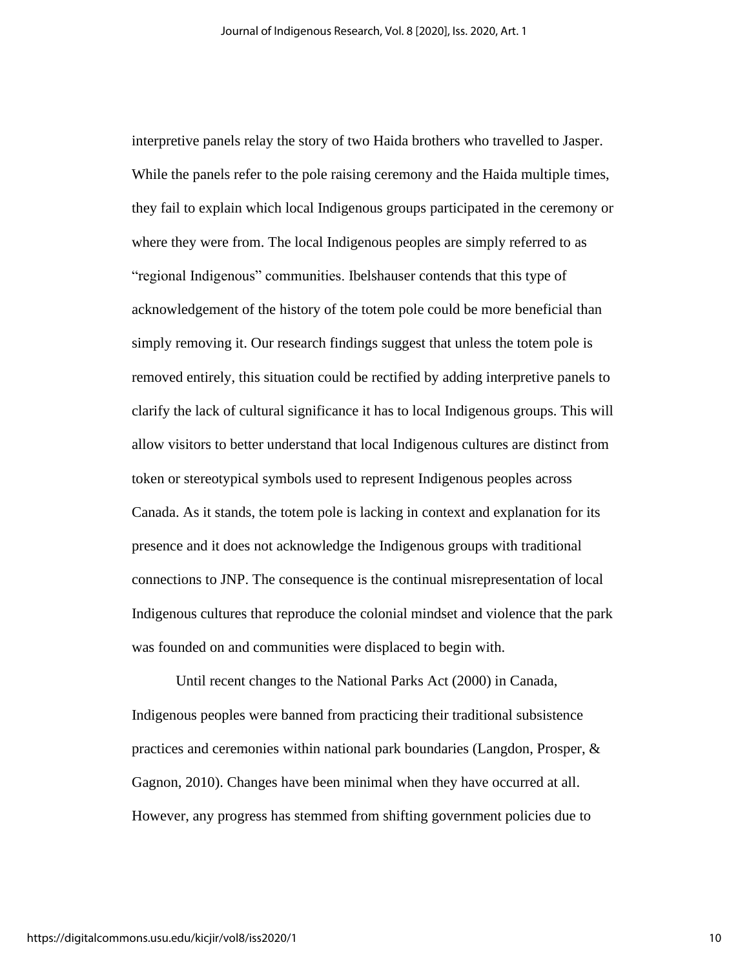interpretive panels relay the story of two Haida brothers who travelled to Jasper. While the panels refer to the pole raising ceremony and the Haida multiple times, they fail to explain which local Indigenous groups participated in the ceremony or where they were from. The local Indigenous peoples are simply referred to as "regional Indigenous" communities. Ibelshauser contends that this type of acknowledgement of the history of the totem pole could be more beneficial than simply removing it. Our research findings suggest that unless the totem pole is removed entirely, this situation could be rectified by adding interpretive panels to clarify the lack of cultural significance it has to local Indigenous groups. This will allow visitors to better understand that local Indigenous cultures are distinct from token or stereotypical symbols used to represent Indigenous peoples across Canada. As it stands, the totem pole is lacking in context and explanation for its presence and it does not acknowledge the Indigenous groups with traditional connections to JNP. The consequence is the continual misrepresentation of local Indigenous cultures that reproduce the colonial mindset and violence that the park was founded on and communities were displaced to begin with.

Until recent changes to the National Parks Act (2000) in Canada, Indigenous peoples were banned from practicing their traditional subsistence practices and ceremonies within national park boundaries (Langdon, Prosper, & Gagnon, 2010). Changes have been minimal when they have occurred at all. However, any progress has stemmed from shifting government policies due to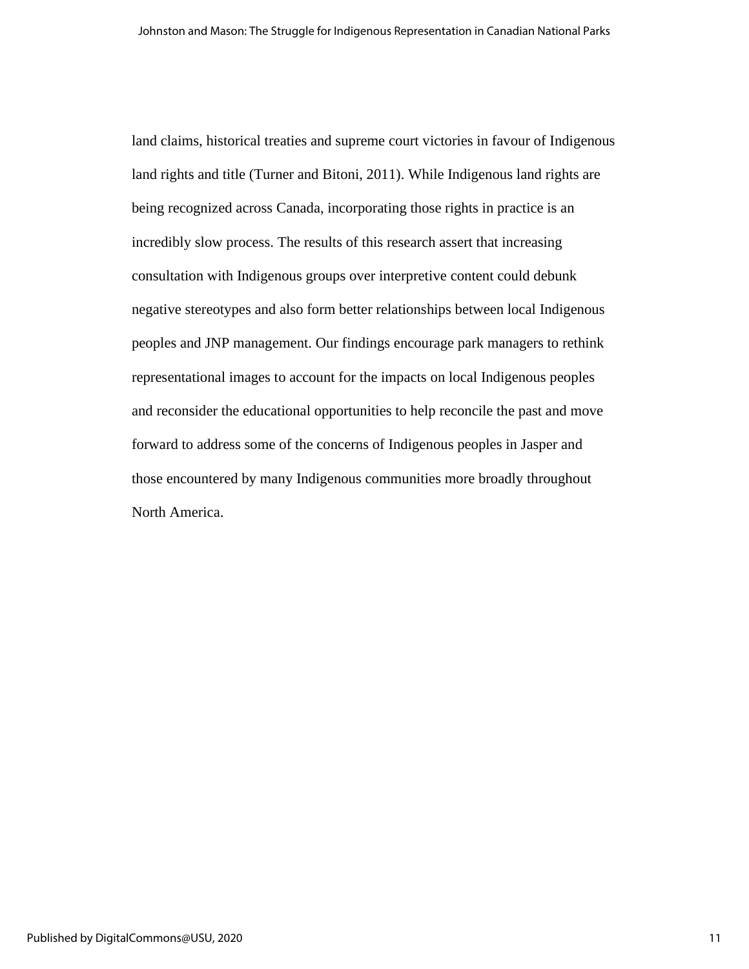land claims, historical treaties and supreme court victories in favour of Indigenous land rights and title (Turner and Bitoni, 2011). While Indigenous land rights are being recognized across Canada, incorporating those rights in practice is an incredibly slow process. The results of this research assert that increasing consultation with Indigenous groups over interpretive content could debunk negative stereotypes and also form better relationships between local Indigenous peoples and JNP management. Our findings encourage park managers to rethink representational images to account for the impacts on local Indigenous peoples and reconsider the educational opportunities to help reconcile the past and move forward to address some of the concerns of Indigenous peoples in Jasper and those encountered by many Indigenous communities more broadly throughout North America.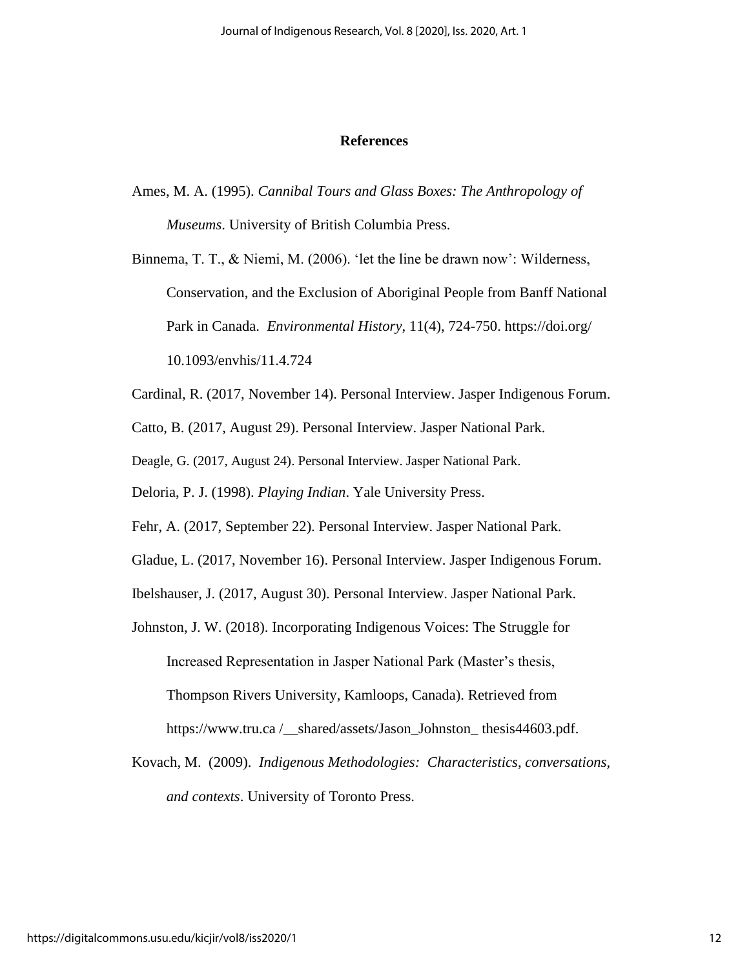#### **References**

Ames, M. A. (1995). *Cannibal Tours and Glass Boxes: The Anthropology of Museums*. University of British Columbia Press.

Binnema, T. T., & Niemi, M. (2006). 'let the line be drawn now': Wilderness, Conservation, and the Exclusion of Aboriginal People from Banff National Park in Canada. *Environmental History*, 11(4), 724-750. https://doi.org/ 10.1093/envhis/11.4.724

Cardinal, R. (2017, November 14). Personal Interview. Jasper Indigenous Forum.

Catto, B. (2017, August 29). Personal Interview. Jasper National Park.

Deagle, G. (2017, August 24). Personal Interview. Jasper National Park.

Deloria, P. J. (1998). *Playing Indian*. Yale University Press.

Fehr, A. (2017, September 22). Personal Interview. Jasper National Park.

Gladue, L. (2017, November 16). Personal Interview. Jasper Indigenous Forum.

Ibelshauser, J. (2017, August 30). Personal Interview. Jasper National Park.

Johnston, J. W. (2018). Incorporating Indigenous Voices: The Struggle for Increased Representation in Jasper National Park (Master's thesis, Thompson Rivers University, Kamloops, Canada). Retrieved from https://www.tru.ca /\_\_shared/assets/Jason\_Johnston\_ thesis44603.pdf.

Kovach, M. (2009). *Indigenous Methodologies: Characteristics, conversations, and contexts*. University of Toronto Press.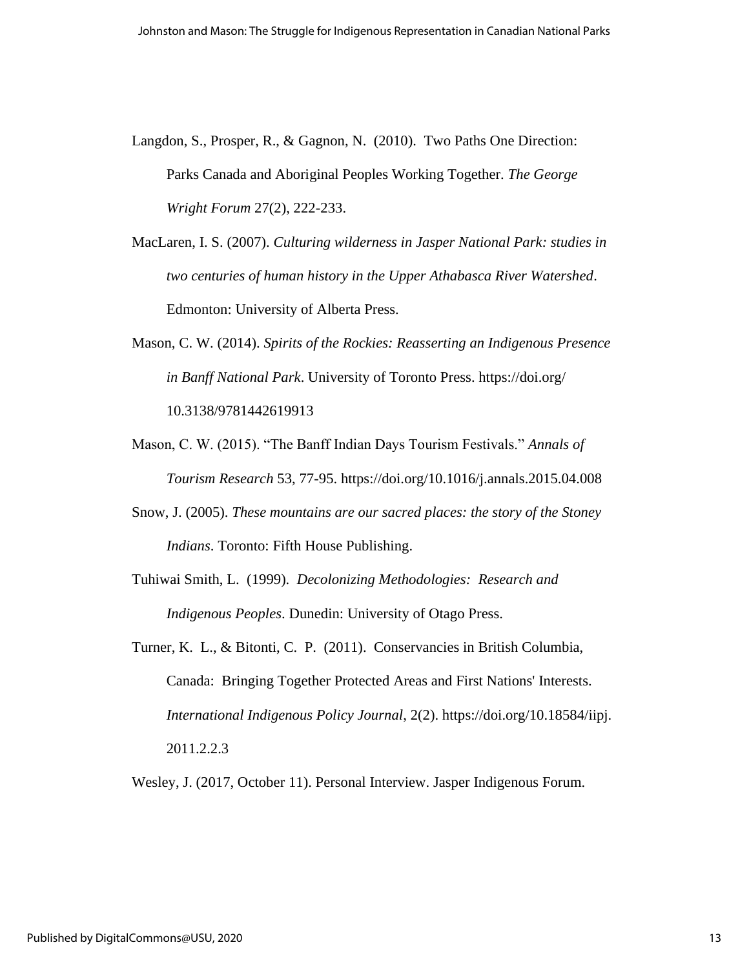Langdon, S., Prosper, R., & Gagnon, N. (2010). Two Paths One Direction: Parks Canada and Aboriginal Peoples Working Together. *The George Wright Forum* 27(2), 222-233.

MacLaren, I. S. (2007). *Culturing wilderness in Jasper National Park: studies in two centuries of human history in the Upper Athabasca River Watershed*. Edmonton: University of Alberta Press.

- Mason, C. W. (2014). *Spirits of the Rockies: Reasserting an Indigenous Presence in Banff National Park*. University of Toronto Press. https://doi.org/ 10.3138/9781442619913
- Mason, C. W. (2015). "The Banff Indian Days Tourism Festivals." *Annals of Tourism Research* 53, 77-95. https://doi.org/10.1016/j.annals.2015.04.008
- Snow, J. (2005). *These mountains are our sacred places: the story of the Stoney Indians*. Toronto: Fifth House Publishing.
- Tuhiwai Smith, L. (1999). *Decolonizing Methodologies: Research and Indigenous Peoples*. Dunedin: University of Otago Press.
- Turner, K. L., & Bitonti, C. P. (2011). Conservancies in British Columbia, Canada: Bringing Together Protected Areas and First Nations' Interests. *International Indigenous Policy Journal*, 2(2). https://doi.org/10.18584/iipj. 2011.2.2.3

Wesley, J. (2017, October 11). Personal Interview. Jasper Indigenous Forum.